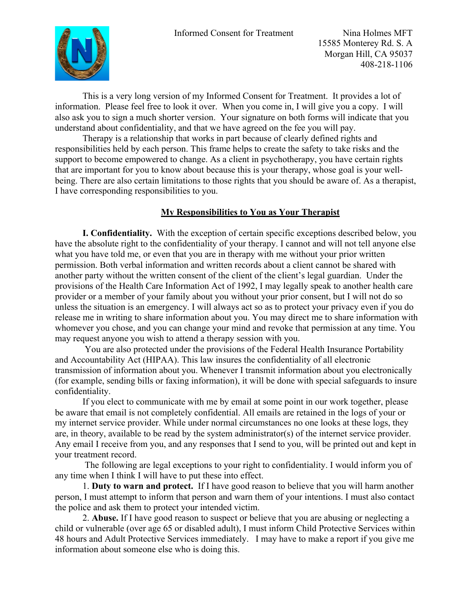

This is a very long version of my Informed Consent for Treatment. It provides a lot of information. Please feel free to look it over. When you come in, I will give you a copy. I will also ask you to sign a much shorter version. Your signature on both forms will indicate that you understand about confidentiality, and that we have agreed on the fee you will pay.

Therapy is a relationship that works in part because of clearly defined rights and responsibilities held by each person. This frame helps to create the safety to take risks and the support to become empowered to change. As a client in psychotherapy, you have certain rights that are important for you to know about because this is your therapy, whose goal is your wellbeing. There are also certain limitations to those rights that you should be aware of. As a therapist, I have corresponding responsibilities to you.

# **My Responsibilities to You as Your Therapist**

**I. Confidentiality.** With the exception of certain specific exceptions described below, you have the absolute right to the confidentiality of your therapy. I cannot and will not tell anyone else what you have told me, or even that you are in therapy with me without your prior written permission. Both verbal information and written records about a client cannot be shared with another party without the written consent of the client of the client's legal guardian. Under the provisions of the Health Care Information Act of 1992, I may legally speak to another health care provider or a member of your family about you without your prior consent, but I will not do so unless the situation is an emergency. I will always act so as to protect your privacy even if you do release me in writing to share information about you. You may direct me to share information with whomever you chose, and you can change your mind and revoke that permission at any time. You may request anyone you wish to attend a therapy session with you.

 You are also protected under the provisions of the Federal Health Insurance Portability and Accountability Act (HIPAA). This law insures the confidentiality of all electronic transmission of information about you. Whenever I transmit information about you electronically (for example, sending bills or faxing information), it will be done with special safeguards to insure confidentiality.

If you elect to communicate with me by email at some point in our work together, please be aware that email is not completely confidential. All emails are retained in the logs of your or my internet service provider. While under normal circumstances no one looks at these logs, they are, in theory, available to be read by the system administrator(s) of the internet service provider. Any email I receive from you, and any responses that I send to you, will be printed out and kept in your treatment record.

 The following are legal exceptions to your right to confidentiality. I would inform you of any time when I think I will have to put these into effect.

1. **Duty to warn and protect.** If I have good reason to believe that you will harm another person, I must attempt to inform that person and warn them of your intentions. I must also contact the police and ask them to protect your intended victim.

2. **Abuse.** If I have good reason to suspect or believe that you are abusing or neglecting a child or vulnerable (over age 65 or disabled adult), I must inform Child Protective Services within 48 hours and Adult Protective Services immediately. I may have to make a report if you give me information about someone else who is doing this.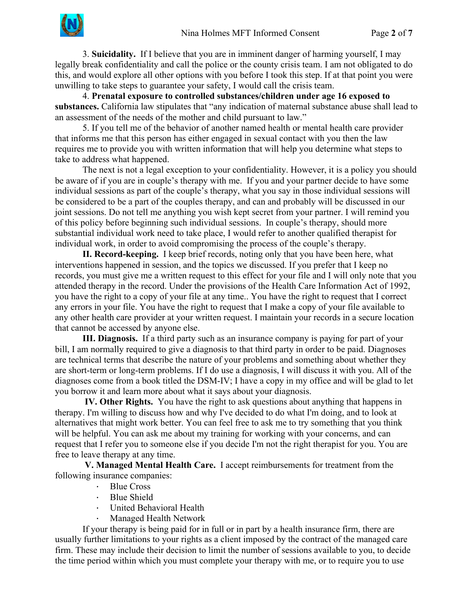

3. **Suicidality.** If I believe that you are in imminent danger of harming yourself, I may legally break confidentiality and call the police or the county crisis team. I am not obligated to do this, and would explore all other options with you before I took this step. If at that point you were unwilling to take steps to guarantee your safety, I would call the crisis team.

4. **Prenatal exposure to controlled substances/children under age 16 exposed to substances.** California law stipulates that "any indication of maternal substance abuse shall lead to an assessment of the needs of the mother and child pursuant to law."

5. If you tell me of the behavior of another named health or mental health care provider that informs me that this person has either engaged in sexual contact with you then the law requires me to provide you with written information that will help you determine what steps to take to address what happened.

The next is not a legal exception to your confidentiality. However, it is a policy you should be aware of if you are in couple's therapy with me. If you and your partner decide to have some individual sessions as part of the couple's therapy, what you say in those individual sessions will be considered to be a part of the couples therapy, and can and probably will be discussed in our joint sessions. Do not tell me anything you wish kept secret from your partner. I will remind you of this policy before beginning such individual sessions. In couple's therapy, should more substantial individual work need to take place, I would refer to another qualified therapist for individual work, in order to avoid compromising the process of the couple's therapy.

**II. Record-keeping.** I keep brief records, noting only that you have been here, what interventions happened in session, and the topics we discussed. If you prefer that I keep no records, you must give me a written request to this effect for your file and I will only note that you attended therapy in the record. Under the provisions of the Health Care Information Act of 1992, you have the right to a copy of your file at any time.. You have the right to request that I correct any errors in your file. You have the right to request that I make a copy of your file available to any other health care provider at your written request. I maintain your records in a secure location that cannot be accessed by anyone else.

**III. Diagnosis.** If a third party such as an insurance company is paying for part of your bill, I am normally required to give a diagnosis to that third party in order to be paid. Diagnoses are technical terms that describe the nature of your problems and something about whether they are short-term or long-term problems. If I do use a diagnosis, I will discuss it with you. All of the diagnoses come from a book titled the DSM-IV; I have a copy in my office and will be glad to let you borrow it and learn more about what it says about your diagnosis.

**IV. Other Rights.** You have the right to ask questions about anything that happens in therapy. I'm willing to discuss how and why I've decided to do what I'm doing, and to look at alternatives that might work better. You can feel free to ask me to try something that you think will be helpful. You can ask me about my training for working with your concerns, and can request that I refer you to someone else if you decide I'm not the right therapist for you. You are free to leave therapy at any time.

**V. Managed Mental Health Care.** I accept reimbursements for treatment from the following insurance companies:

- · Blue Cross
- . Blue Shield
- ! United Behavioral Health
- ! Managed Health Network

If your therapy is being paid for in full or in part by a health insurance firm, there are usually further limitations to your rights as a client imposed by the contract of the managed care firm. These may include their decision to limit the number of sessions available to you, to decide the time period within which you must complete your therapy with me, or to require you to use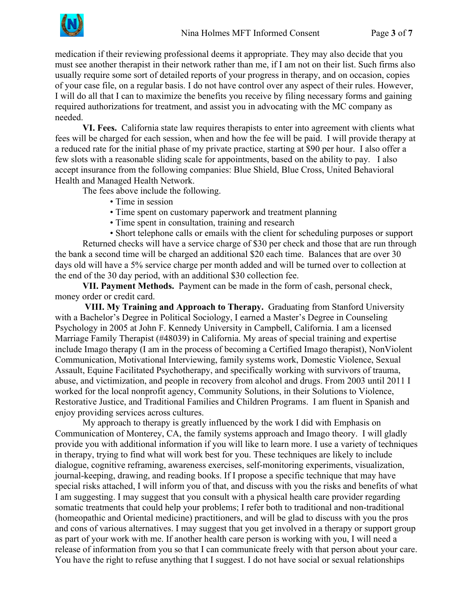

medication if their reviewing professional deems it appropriate. They may also decide that you must see another therapist in their network rather than me, if I am not on their list. Such firms also usually require some sort of detailed reports of your progress in therapy, and on occasion, copies of your case file, on a regular basis. I do not have control over any aspect of their rules. However, I will do all that I can to maximize the benefits you receive by filing necessary forms and gaining required authorizations for treatment, and assist you in advocating with the MC company as needed.

**VI. Fees.** California state law requires therapists to enter into agreement with clients what fees will be charged for each session, when and how the fee will be paid. I will provide therapy at a reduced rate for the initial phase of my private practice, starting at \$90 per hour. I also offer a few slots with a reasonable sliding scale for appointments, based on the ability to pay. I also accept insurance from the following companies: Blue Shield, Blue Cross, United Behavioral Health and Managed Health Network.

The fees above include the following.

- Time in session
- Time spent on customary paperwork and treatment planning
- Time spent in consultation, training and research
- Short telephone calls or emails with the client for scheduling purposes or support Returned checks will have a service charge of \$30 per check and those that are run through the bank a second time will be charged an additional \$20 each time. Balances that are over 30 days old will have a 5% service charge per month added and will be turned over to collection at the end of the 30 day period, with an additional \$30 collection fee.
- **VII. Payment Methods.** Payment can be made in the form of cash, personal check, money order or credit card.

**VIII. My Training and Approach to Therapy.** Graduating from Stanford University with a Bachelor's Degree in Political Sociology, I earned a Master's Degree in Counseling Psychology in 2005 at John F. Kennedy University in Campbell, California. I am a licensed Marriage Family Therapist (#48039) in California. My areas of special training and expertise include Imago therapy (I am in the process of becoming a Certified Imago therapist), NonViolent Communication, Motivational Interviewing, family systems work, Domestic Violence, Sexual Assault, Equine Facilitated Psychotherapy, and specifically working with survivors of trauma, abuse, and victimization, and people in recovery from alcohol and drugs. From 2003 until 2011 I worked for the local nonprofit agency, Community Solutions, in their Solutions to Violence, Restorative Justice, and Traditional Families and Children Programs. I am fluent in Spanish and enjoy providing services across cultures.

My approach to therapy is greatly influenced by the work I did with Emphasis on Communication of Monterey, CA, the family systems approach and Imago theory. I will gladly provide you with additional information if you will like to learn more. I use a variety of techniques in therapy, trying to find what will work best for you. These techniques are likely to include dialogue, cognitive reframing, awareness exercises, self-monitoring experiments, visualization, journal-keeping, drawing, and reading books. If I propose a specific technique that may have special risks attached, I will inform you of that, and discuss with you the risks and benefits of what I am suggesting. I may suggest that you consult with a physical health care provider regarding somatic treatments that could help your problems; I refer both to traditional and non-traditional (homeopathic and Oriental medicine) practitioners, and will be glad to discuss with you the pros and cons of various alternatives. I may suggest that you get involved in a therapy or support group as part of your work with me. If another health care person is working with you, I will need a release of information from you so that I can communicate freely with that person about your care. You have the right to refuse anything that I suggest. I do not have social or sexual relationships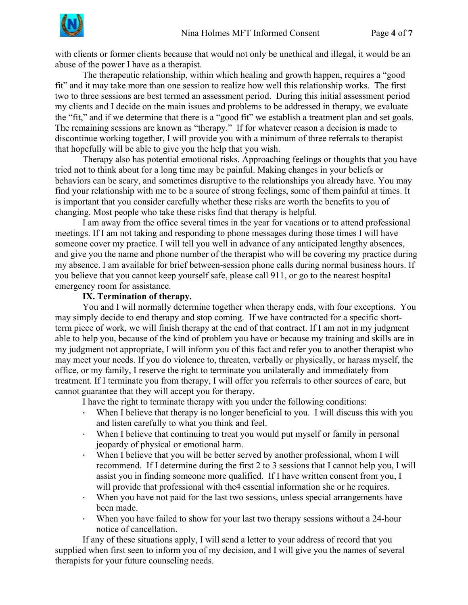

with clients or former clients because that would not only be unethical and illegal, it would be an abuse of the power I have as a therapist.

The therapeutic relationship, within which healing and growth happen, requires a "good fit" and it may take more than one session to realize how well this relationship works. The first two to three sessions are best termed an assessment period. During this initial assessment period my clients and I decide on the main issues and problems to be addressed in therapy, we evaluate the "fit," and if we determine that there is a "good fit" we establish a treatment plan and set goals. The remaining sessions are known as "therapy." If for whatever reason a decision is made to discontinue working together, I will provide you with a minimum of three referrals to therapist that hopefully will be able to give you the help that you wish.

Therapy also has potential emotional risks. Approaching feelings or thoughts that you have tried not to think about for a long time may be painful. Making changes in your beliefs or behaviors can be scary, and sometimes disruptive to the relationships you already have. You may find your relationship with me to be a source of strong feelings, some of them painful at times. It is important that you consider carefully whether these risks are worth the benefits to you of changing. Most people who take these risks find that therapy is helpful.

I am away from the office several times in the year for vacations or to attend professional meetings. If I am not taking and responding to phone messages during those times I will have someone cover my practice. I will tell you well in advance of any anticipated lengthy absences, and give you the name and phone number of the therapist who will be covering my practice during my absence. I am available for brief between-session phone calls during normal business hours. If you believe that you cannot keep yourself safe, please call 911, or go to the nearest hospital emergency room for assistance.

#### **IX. Termination of therapy.**

You and I will normally determine together when therapy ends, with four exceptions. You may simply decide to end therapy and stop coming. If we have contracted for a specific shortterm piece of work, we will finish therapy at the end of that contract. If I am not in my judgment able to help you, because of the kind of problem you have or because my training and skills are in my judgment not appropriate, I will inform you of this fact and refer you to another therapist who may meet your needs. If you do violence to, threaten, verbally or physically, or harass myself, the office, or my family, I reserve the right to terminate you unilaterally and immediately from treatment. If I terminate you from therapy, I will offer you referrals to other sources of care, but cannot guarantee that they will accept you for therapy.

I have the right to terminate therapy with you under the following conditions:

- When I believe that therapy is no longer beneficial to you. I will discuss this with you and listen carefully to what you think and feel.
- ! When I believe that continuing to treat you would put myself or family in personal jeopardy of physical or emotional harm.
- ! When I believe that you will be better served by another professional, whom I will recommend. If I determine during the first 2 to 3 sessions that I cannot help you, I will assist you in finding someone more qualified. If I have written consent from you, I will provide that professional with the 4 essential information she or he requires.
- ! When you have not paid for the last two sessions, unless special arrangements have been made.
- ! When you have failed to show for your last two therapy sessions without a 24-hour notice of cancellation.

If any of these situations apply, I will send a letter to your address of record that you supplied when first seen to inform you of my decision, and I will give you the names of several therapists for your future counseling needs.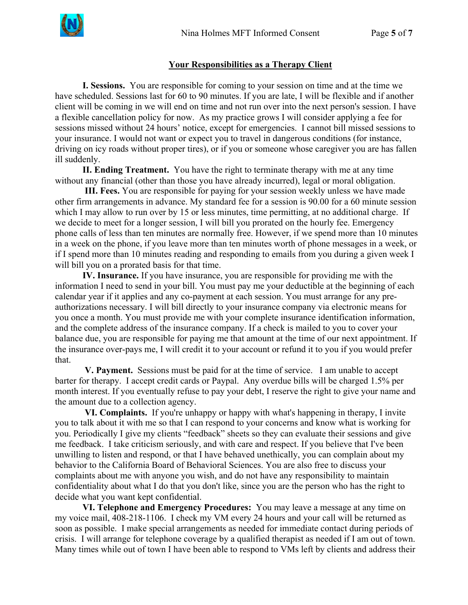

# **Your Responsibilities as a Therapy Client**

**I. Sessions.** You are responsible for coming to your session on time and at the time we have scheduled. Sessions last for 60 to 90 minutes. If you are late, I will be flexible and if another client will be coming in we will end on time and not run over into the next person's session. I have a flexible cancellation policy for now. As my practice grows I will consider applying a fee for sessions missed without 24 hours' notice, except for emergencies. I cannot bill missed sessions to your insurance. I would not want or expect you to travel in dangerous conditions (for instance, driving on icy roads without proper tires), or if you or someone whose caregiver you are has fallen ill suddenly.

**II. Ending Treatment.** You have the right to terminate therapy with me at any time without any financial (other than those you have already incurred), legal or moral obligation.

**III. Fees.** You are responsible for paying for your session weekly unless we have made other firm arrangements in advance. My standard fee for a session is 90.00 for a 60 minute session which I may allow to run over by 15 or less minutes, time permitting, at no additional charge. If we decide to meet for a longer session, I will bill you prorated on the hourly fee. Emergency phone calls of less than ten minutes are normally free. However, if we spend more than 10 minutes in a week on the phone, if you leave more than ten minutes worth of phone messages in a week, or if I spend more than 10 minutes reading and responding to emails from you during a given week I will bill you on a prorated basis for that time.

**IV. Insurance.** If you have insurance, you are responsible for providing me with the information I need to send in your bill. You must pay me your deductible at the beginning of each calendar year if it applies and any co-payment at each session. You must arrange for any preauthorizations necessary. I will bill directly to your insurance company via electronic means for you once a month. You must provide me with your complete insurance identification information, and the complete address of the insurance company. If a check is mailed to you to cover your balance due, you are responsible for paying me that amount at the time of our next appointment. If the insurance over-pays me, I will credit it to your account or refund it to you if you would prefer that.

**V. Payment.** Sessions must be paid for at the time of service. I am unable to accept barter for therapy. I accept credit cards or Paypal. Any overdue bills will be charged 1.5% per month interest. If you eventually refuse to pay your debt, I reserve the right to give your name and the amount due to a collection agency.

**VI. Complaints.** If you're unhappy or happy with what's happening in therapy, I invite you to talk about it with me so that I can respond to your concerns and know what is working for you. Periodically I give my clients "feedback" sheets so they can evaluate their sessions and give me feedback. I take criticism seriously, and with care and respect. If you believe that I've been unwilling to listen and respond, or that I have behaved unethically, you can complain about my behavior to the California Board of Behavioral Sciences. You are also free to discuss your complaints about me with anyone you wish, and do not have any responsibility to maintain confidentiality about what I do that you don't like, since you are the person who has the right to decide what you want kept confidential.

**VI. Telephone and Emergency Procedures:** You may leave a message at any time on my voice mail, 408-218-1106. I check my VM every 24 hours and your call will be returned as soon as possible. I make special arrangements as needed for immediate contact during periods of crisis. I will arrange for telephone coverage by a qualified therapist as needed if I am out of town. Many times while out of town I have been able to respond to VMs left by clients and address their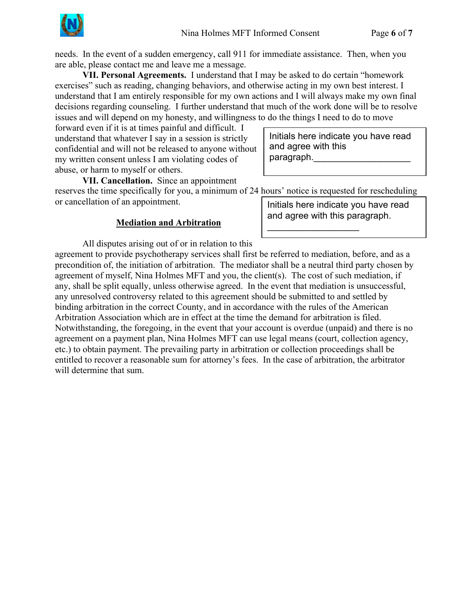

needs. In the event of a sudden emergency, call 911 for immediate assistance. Then, when you are able, please contact me and leave me a message.

**VII. Personal Agreements.** I understand that I may be asked to do certain "homework exercises" such as reading, changing behaviors, and otherwise acting in my own best interest. I understand that I am entirely responsible for my own actions and I will always make my own final decisions regarding counseling. I further understand that much of the work done will be to resolve issues and will depend on my honesty, and willingness to do the things I need to do to move

forward even if it is at times painful and difficult. I understand that whatever I say in a session is strictly confidential and will not be released to anyone without my written consent unless I am violating codes of abuse, or harm to myself or others.

Initials here indicate you have read and agree with this paragraph.

**VII. Cancellation.** Since an appointment reserves the time specifically for you, a minimum of 24 hours' notice is requested for rescheduling or cancellation of an appointment.

### **Mediation and Arbitration**

Initials here indicate you have read and agree with this paragraph.

 $\mathcal{L}_\text{max}$  , where  $\mathcal{L}_\text{max}$ 

All disputes arising out of or in relation to this

agreement to provide psychotherapy services shall first be referred to mediation, before, and as a precondition of, the initiation of arbitration. The mediator shall be a neutral third party chosen by agreement of myself, Nina Holmes MFT and you, the client(s). The cost of such mediation, if any, shall be split equally, unless otherwise agreed. In the event that mediation is unsuccessful, any unresolved controversy related to this agreement should be submitted to and settled by binding arbitration in the correct County, and in accordance with the rules of the American Arbitration Association which are in effect at the time the demand for arbitration is filed. Notwithstanding, the foregoing, in the event that your account is overdue (unpaid) and there is no agreement on a payment plan, Nina Holmes MFT can use legal means (court, collection agency, etc.) to obtain payment. The prevailing party in arbitration or collection proceedings shall be entitled to recover a reasonable sum for attorney's fees. In the case of arbitration, the arbitrator will determine that sum.